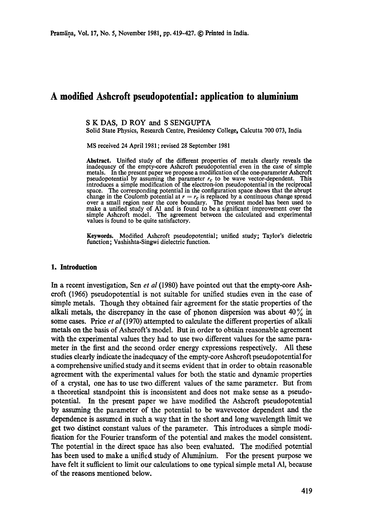# **A modified Ashcroft pseudopotentiai: application to aluminium**

### S K DAS, D ROY and S SENGUPTA

Solid State Physics, Research Centre, Presidency College, Calcutta 700 073, India

MS received 24 April 1981 ; revised 28 September 1981

**Abstract.** Unified study of **the different** properties of metals clearly reveals the inadequacy of the empty-core Ashcroft pseudopotential even in the case of simple metals. In the present paper we propose a modification of the one-parameter Ashcroft pseudopotential by assuming the parameter  $r_c$  to be wave vector-dependent. This introduces a simple modification of the electron-ion pseudopotential in the reciprocal space. The corresponding potential in the configuration space shows that the abrupt change in the Coulomb potential at  $r = r_c$  is replaced by a continuous change spread over a small region near the core boundary. The present model has been used to make a unified study of AI and is found to be a significant improvement over the simple Ashcroft model. The agreement between the calculated and experimental values is found to be quite satisfactory.

**Keywords.** Modified Ashcroft pseudopotential; unified study; Taylor's **dielectric**  function; Vashishta-Singwi dielectric function.

#### **1. Introduction**

In a recent investigation, Sen *et al* (1980) have pointed out that the empty-core Ashcroft (1966) pseudopotential is not suitable for unified studies even in the case of simple metals. Though they obtained fair agreement for the static properties of the alkali metals, the discrepancy in the case of phonon dispersion was about  $40\%$  in some cases. Price *et al* (1970) attempted to calculate the different properties of alkali metals on the basis of Ashcroft's model. But in order to obtain reasonable agreement with the experimental values they had to use two different values for the same parameter in the first and the second order energy expressions respectively. All these studies clearly indicate the inadequacy of the empty-core Ashcroft pseudopotential for a comprehensive unified study and it seems evident that in order to obtain reasonable agreement with the experimental values for both the static and dynamic properties of a crystal, one has to use two different values of the same parameter. But from a theoretical standpoint this is inconsistent and does not make sense as a pseudopotential. In the present paper we have modified the Ashcroft pseudopotential by assuming the parameter of the potential to be wavevector dependent and the dependence is assumed in such a way that in the short and long wavelength limit we get two distinct constant values of the parmneter. This introduces a simple modification for the Fourier transform of the potential and makes the model consistent. The potential in the direct space has also been evaluated. The modified potential has been used to make a unified study of Aluminium. For the present purpose we have felt it sufficient to limit our calculations to one typical simple metal A1, because of the reasons mentioned below.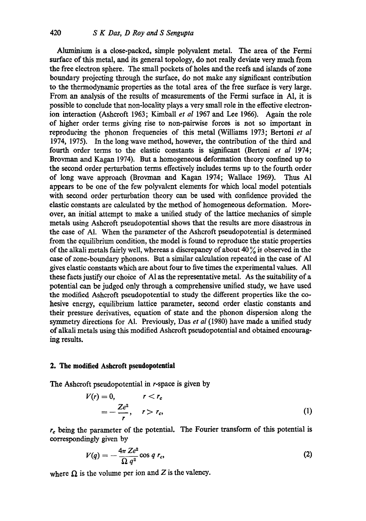Aluminium is a close-packed, simple polyvalent metal. The area of the Fermi surface of this metal, and its general topology, do not really deviate very much from the free electron sphere. The small pockets of holes and the reefs and islands of zone boundary projecting through the surface, do not make any significant contribution to the thermodynamic properties as the total area of the free surface is very large. From an analysis of the results of measurements of the Fermi surface in A1, it is possible to conclude that non-locality plays a very small role in the effective electronion interaction (Ashcroft 1963; Kimball *et al* 1967 and Lee 1966). Again the role of higher order terms gwing rise to non-pairwise forces is not so important in reproducing the phonon frequencies of this metal (Williams 1973; Bertoni *et al*  1974, 1975). In the long wave method, however, the contribution of the third and fourth order terms to the elastic constants is significant (Bertoni *et al* 1974; Brovman and Kagan 1974). But a homogeneous deformation theory confined up to the second order perturbation terms effectively includes terms up to the fourth order of long wave approach (Brovman and Kagan 1974; Wallace 1969). Thus AI appears to be one of the few polyvalent elements for which local model potentials with second order perturbation theory can be used with confidence provided the elastic constants are calculated by the method of homogeneous deformation. Moreover, an initial attempt to make a unified study of the lattice mechanics of simple metals using Ashcroft pseudopotential shows that the results are more disastrous in the case of AI. When the parameter of the Ashcroft pseudopotential is determined from the equilibrium condition, the model is found to reproduce the static properties of the alkali metals fairly well, whereas a discrepancy of about  $40\%$  is observed in the case of zone-boundary phonons. But a similar calculation repeated in the case of AI gives elastic constants which are about four to five times the experimental values. All these facts justify our choice of A1 as the representative metal. As the suitability of a potential can be judged only through a comprehensive unified study, we have used the modified Ashcroft pseudopotential to study the different properties like the cohesive energy, equilibrium lattice parameter, second order elastic constants and their pressure derivatives, equation of state and the phonon dispersion along the symmetry directions for A1. Previously, Das *et al* (1980) have made a unified study of alkali metals using this modified Ashcroft pseudopotential and obtained encouraging results.

### **2. The modified Asheroft pseudopotential**

The Ashcroft pseudopotential in r-space is given by

$$
V(r) = 0, \qquad r < r_c
$$
  
=  $-\frac{Ze^2}{r}, \qquad r > r_c,$  (1)

 $r_c$  being the parameter of the potential. The Fourier transform of this potential is correspondingly given by

$$
V(q) = -\frac{4\pi\,Ze^2}{\Omega\,q^2}\cos q\,r_c,\tag{2}
$$

where  $\Omega$  is the volume per ion and Z is the valency.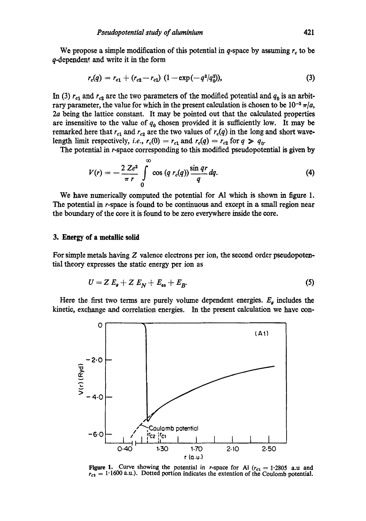We propose a simple modification of this potential in q-space by assuming  $r_c$  to be q-dependent and write it in the form

$$
r_c(q) = r_{c1} + (r_{c2} - r_{c1}) (1 - \exp(-q^2/q_0^2)), \qquad (3)
$$

In (3)  $r_{c1}$  and  $r_{c2}$  are the two parameters of the modified potential and  $q_0$  is an arbitrary parameter, the value for which in the present calculation is chosen to be  $10^{-2} \pi/a$ , 2a being the lattice constant. It may be pointed out that the calculated properties are insensitive to the value of  $q_0$  chosen provided it is sufficiently low. It may be remarked here that  $r_{c1}$  and  $r_{c2}$  are the two values of  $r_c(q)$  in the long and short wavelength limit respectively, *i.e.*,  $r_c(0) = r_{c1}$  and  $r_c(q) = r_{c2}$  for  $q \ge q_0$ .

The potential in r-space corresponding to this modified pseudopotential is given by

$$
V(r) = -\frac{2 Ze^2}{\pi r} \int\limits_{0}^{\infty} \cos (q \ r_c(q)) \frac{\sin qr}{q} dq.
$$
 (4)

We have numerically computed the potential for A1 which is shown in figure 1. The potential in r-space is found to be continuous and except in a small region near the boundary of the core it is found to be zero everywhere inside the core.

#### **3. Energy of a metallic solid**

For simple metals having  $Z$  valence electrons per ion, the second order pseudopotential theory expresses the static energy per ion as

$$
U = Z E_{\mathfrak{g}} + Z E_{N} + E_{\mathfrak{es}} + E_{B}.
$$
 (5)

Here the first two terms are purely volume dependent energies.  $E_g$  includes the kinetic, exchange and correlation energies. In the present calculation we have con-



**Figure 1.** Curve showing the potential in r-space for Al  $(r_{c1} = 1.2805$  a.u and  $r_{c2} = 1.1600$  a.u.). Dotted portion indicates the extention of the Coulomb potential.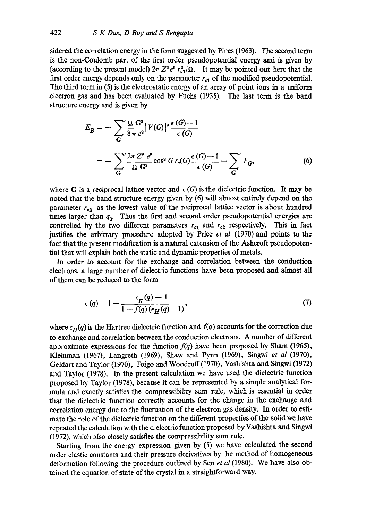sidered the correlation energy in the form suggested by Pines (1963). The second term is the non-Coulomb part of the first order pseudopotential energy and is given by (according to the present model)  $2\pi Z^2 e^2 r_{c1}^2 / \Omega$ . It may be pointed out here that the first order energy depends only on the parameter  $r_{c1}$  of the modified pseudopotential. The third term in (5) is the electrostatic energy of an array of point ions in a uniform electron gas and has been evaluated by Fuchs (1935), The last term is the band structure energy and is given by

$$
E_B = -\sum_{G} \frac{\Omega G^2}{8 \pi e^2} |V(G)|^2 \frac{\epsilon(G) - 1}{\epsilon(G)}
$$
  
= 
$$
-\sum_{G} \frac{2\pi Z^2 e^2}{\Omega G^2} \cos^2 G r_c(G) \frac{\epsilon(G) - 1}{\epsilon(G)} = \sum_{G} F_G,
$$
 (6)

where G is a reciprocal lattice vector and  $\epsilon(G)$  is the dielectric function. It may be noted that the band structure energy given by (6) will almost entirely depend on the parameter  $r_{c2}$  as the lowest value of the reciprocal lattice vector is about hundred times larger than  $q_0$ . Thus the first and second order pseudopotential energies are controlled by the two different parameters  $r_{c1}$  and  $r_{c2}$  respectively. This in fact justifies the arbitrary procedure adopted by Price *et al* (1970) and points to the fact that the present modification is a natural extension of the Asheroft pseudopotential that will explain both the static and dynamic properties of metals.

In order to account for the exchange and correlation between the conduction electrons, a large number of dielectric functions have been proposed and almost all of them can be reduced to the form

$$
\epsilon(q) = 1 + \frac{\epsilon_H(q) - 1}{1 - f(q) (\epsilon_H(q) - 1)},\tag{7}
$$

where  $\epsilon_H(q)$  is the Hartree dielectric function and  $f(q)$  accounts for the correction due to exchange and correlation between the conduction electrons. A number of different approximate expressions for the function  $f(q)$  have been proposed by Sham (1965), Kleinman (1967), Langreth (1969), Shaw and Pynn (1969), Singwi *et al* (1970), Geldart and Taylor (1970), Toigo and Woodruff(1970), Vashishta and Singwi (1972) and Taylor (1978). In the present calculation we have used the dielectric function proposed by Taylor (1978), because it can be represented by a simple analytical formula and exactly satisfies the compressibility sam rule, which is essential in order that the dielectric function correctly accounts for the change in the exchange and correlation energy due to the fluctuation of the electron gas density. In order to estimate the role of the dielectric function on the different properties of the solid we have repeated the calculation with the dielectric function proposed by Vashishta and Singwi (1972), which also closely satisfies the compressibility sum rule.

Starting from the energy expression given by (5) we have calculated the second order elastic constants and their pressure derivatives by the method of homogeneous deformation following the procedure outlined by Sen *et al* (1980). We have also obtained the equation of state of the crystal in a straightforward way.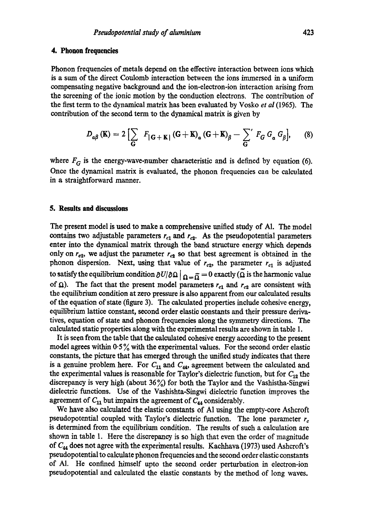# **4. Phonon frequencies**

Phonon frequencies of metals depend on the effective interaction between ions which is a sum of the direct Coulomb interaction between the ions immersed in a uniform compensating negative background and the ion-electron-ion interaction arising from the screening of the ionic motion by the conduction electrons. The contribution of the first term to the dynamical matrix has been evaluated by Vosko *et al* (1965). The contribution of the second term to the dynamical matrix is given by

$$
D_{\alpha\beta}(\mathbf{K}) = 2\left[\sum_{\mathbf{G}} F_{|\mathbf{G}+\mathbf{K}|}(\mathbf{G}+\mathbf{K})_{\alpha}(\mathbf{G}+\mathbf{K})_{\beta} - \sum_{\mathbf{G}}' F_{\mathbf{G}} G_{\alpha} G_{\beta}\right],
$$
 (8)

where  $F_G$  is the energy-wave-number characteristic and is defined by equation (6). Once the dynamical matrix is evaluated, the phonon frequencies can be calculated in a straightforward manner.

## **5. Results and discussions**

The present model is used to make a comprehensive unified study of A1. The model contains two adjustable parameters  $r_{c1}$  and  $r_{c2}$ . As the pseudopotential parameters enter into the dynamical matrix through the band structure energy which depends only on  $r_{c2}$ , we adjust the parameter  $r_{c2}$  so that best agreement is obtained in the phonon dispersion. Next, using that value of  $r_{c2}$ , the parameter  $r_{c1}$  is adjusted to satisfy the equilibrium condition  $\partial U/\partial \Omega\big|_{\Omega=\widetilde{\Omega}}=0$  exactly ( $\widetilde{\Omega}$  is the harmonic value of  $\Omega$ ). The fact that the present model parameters  $r_{c1}$  and  $r_{c2}$  are consistent with the equilibrium condition at zero pressure is also apparent from our calculated results of the equation of state (figure 3). The calculated properties include cohesive energy, equilibrium lattice constant, second order elastic constants and their pressure derivatives, equation of state and phonon frequencies along the symmetry directions. The calculated static properties along with the experimental results are shown in table 1.

It is seen from the table that the calculated cohesive energy according to the present model agrees within  $0.5\%$  with the experimental values. For the second order elastic constants, the picture that has emerged through the unified study indicates that there is a genuine problem here. For  $C_{11}$  and  $C_{44}$ , agreement between the calculated and the experimental values is reasonable for Taylor's dielectric function, but for  $C_{12}$  the discrepancy is very high (about  $36\%$ ) for both the Taylor and the Vashistha-Singwi dielectric functions. Use of the Vashishta-Singwi dielectric function improves the agreement of  $C_{11}$  but impairs the agreement of  $C_{44}$  considerably.

We have also calculated the elastic constants of A1 using the empty-core Ashcroft pseudopotential coupled with Taylor's dielectric function. The lone parameter  $r_c$ is determined from the equilibrium condition. The results of such a calculation are shown in table 1. Here the discrepancy is so high that even the order of magnitude of  $C_{44}$  does not agree with the experimental results. Kachhava (1973) used Ashcroft's pseudopotential to calculate phonon frequencies and the second order elastic constants of A1. He confined himself upto the second order perturbation in electron-ion pseudopotential and calculated the elastic constants by the method of long waves.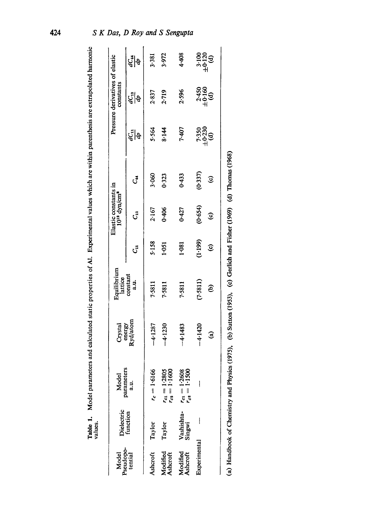| Pseudopo-<br>Model   | Dielectric<br>function | Model                                  | Crystal                | Equilibrium<br>lattice |                        | Elastic constants in<br>$10^{12}$ dyn/cm $^2$ |                |                               | Pressure derivatives of elastic<br>constants |                                     |
|----------------------|------------------------|----------------------------------------|------------------------|------------------------|------------------------|-----------------------------------------------|----------------|-------------------------------|----------------------------------------------|-------------------------------------|
| tential              |                        | parameters<br>a.u.                     | energy<br>Ryd/atom     | constant<br>a.u.       | ැි                     | ٿ                                             | ್              | $dC_{11}$<br>ŀд               | ي<br>پاڻچ                                    | टुँ  <sub>खे</sub>                  |
| Ashcroft             | Taylor                 | $r_c = 1.6166$                         | $-4.1287$              | 7.5811                 | 5.158                  | 2.167                                         | 3.060          | 5.564                         | 2.837                                        | 3.381                               |
| Modified<br>Ashcroft | Taylor                 | $r_{ca} = 1.2805$<br>$r_{ca} = 1.1600$ | $-4.1230$              | 7.5811                 | 1.051                  | 0.406                                         | 0.323          | 8.144                         | 2.719                                        | 3.972                               |
| Modified<br>Ashcroft | Vashishta-<br>Singwi   | $r_{c1} = 1.2608$<br>$r_{c2} = 1.1500$ | $-4.1483$              | 7.5811                 | 1.081                  | 0.427                                         | 0.433          | 7.407                         | 2.596                                        | 4.408                               |
| Experimental         |                        |                                        | $-4.1420$              | (7.5811)               | (1:199)                | (0.654)                                       | (0.337)        | $7.350$<br>$\pm 0.230$<br>(d) | $2.450$<br>$\pm 0.160$<br>$\pm 0.160$        | $3.100$<br>$\pm 0.20$<br>$\pm 0.30$ |
|                      |                        |                                        | $\widehat{\mathbf{e}}$ | $\widehat{e}$          | $\widehat{\mathbf{e}}$ | €                                             | $\circledcirc$ |                               |                                              |                                     |

424

Model parameters and calculated static properties of A1. Experimental values which are within parenthesis are extrapolated harmonic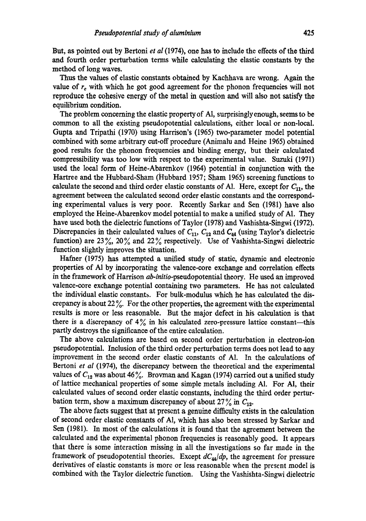But, as pointed out by Bertoni *et al* (1974), one has to include the effects of the third and fourth order perturbation terms while calculating the elastic constants by the method of long waves.

Thus the values of elastic constants obtained by Kachhava are wrong. Again the value of  $r_c$  with which he got good agreement for the phonon frequencies will not reproduce the cohesive energy of the metal in question and will also not satisfy the equilibrium condition.

The problem concerning the elastic propertyof A1, surprisingly enough, seems to be common to all the existing pseudopotential calculations, either local or non-local. Gupta and Tripathi (1970) using Harrison's (1965) two-parameter model potential combined with some arbitrary cut-off procedure (Animalu and Heine 1965) obtained good results for the phonon frequencies and binding energy, but their calculated compressibility was too low with respect to the experimental value. Suzuki (1971) used the local form of Heine-Abarenkov (1964) potential in conjunction with the Hartree and the Hubbard-Sham (Hubbard 1957; Sham 1965) screening functions to calculate the second and third order elastic constants of Al. Here, except for  $C_{11}$ , the agreement between the calculated second order elastic constants and the corresponding experimental values is very poor. Recently Sarkar and Sen (1981) have also employed the Heine-Abarenkov model potential to make a unified study of Al. They have used both the dielectric functions of Taylor (1978) and Vashishta-Singwi (1972). Discrepancies in their calculated values of  $C_{11}$ ,  $C_{12}$  and  $C_{44}$  (using Taylor's dielectric function) are 23%, 20% and 22% respectively. Use of Vashishta-Singwi dielectric function slightly improves the situation.

Hafner (1975) has attempted a unified study of static, dynamic and electronic properties of A1 by incorporating the valence-core exchange and correlation effects in the framework of Harrison *ab-initio-pseudopotential* theory. He used an improved valence-core exchange potential containing two parameters. He has not calculated the individual elastic constants. For bulk-modulus which he has calculated the discrepancy is about  $22\%$ . For the other properties, the agreement with the experimental results is more or less reasonable. But the major defect in his calculation is that there is a discrepancy of  $4\%$  in his calculated zero-pressure lattice constant--this partly destroys the significance of the entire calculation.

The above calculations are based on second order perturbation in electron-ion pseudopotential. Inclusion of the third order perturbation terms does not lead to any improvement in the second order elastic constants of A1. In the calculations of Bertoni *et al* (1974), the discrepancy between the theoretical and the experimental values of  $C_{12}$  was about 46%. Brovman and Kagan (1974) carried out a unified study of lattice mechanical properties of some simple metals including A1. For AI, their calculated values of second order elastic constants, including the third order perturbation term, show a maximum discrepancy of about  $27\%$  in  $C_{12}$ .

The above facts suggest that at present a genuine difficulty exists in the calculation of second order elastic constants of A1, which has also been stressed by Sarkar and Sen (1981). In most of the calculations it is found that the agreement between the calculated and the experimental phonon frequencies is reasonably good. It appears that there is some interaction missing in all the investigations so far made in the framework of pseudopotential theories. Except  $dC_{44}/dp$ , the agreement for pressure derivatives of elastic constants is more or less reasonable when the present model is combined with the Taylor dielectric function. Using the Vashishta-Singwi dielectric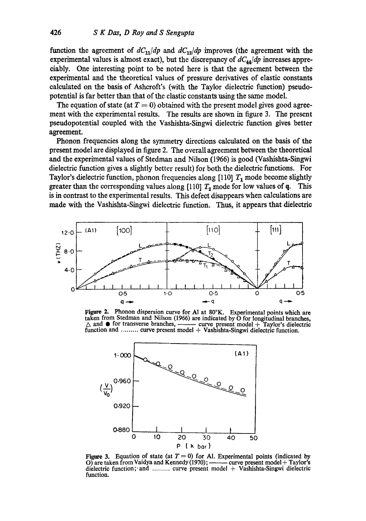function the agreement of  $dC_{11}/dp$  and  $dC_{12}/dp$  improves (the agreement with the experimental values is almost exact), but the discrepancy of  $dC_{44}/dp$  increases appreciably. One interesting point to be noted here is that the agreement between the experimental and the theoretical values of pressure derivatives of elastic constants calculated on the basis of Asheroft's (with the Taylor dielectric function) pseudopotential is far better than that of the elastic constants using the same model.

The equation of state (at  $T = 0$ ) obtained with the present model gives good agreement with the experimental results. The results are shown in figure 3. The present pseudopotential coupled with the Vashishta-Singwi dielectric function gives better agreement.

Phonon frequencies along the symmetry directions calculated on the basis of the present model are displayed in figure 2. The overall agreement between the theoretical and the experimental values of Stedman and Nilson (1966) is good (Vashishta-Singwi dielectric function gives a slightly better result) for both the dielectric functions. For Taylor's dielectric function, phonon frequencies along [110]  $T_1$  mode become slightly greater than the corresponding values along  $[110]$   $T_2$  mode for low values of q. This is in contrast to the experimental results. This defect disappears when calculations are made with the Vashishta-Singwi dielectric function. Thus, it appears that dielectric



Figure 2. Phonon dispersion curve for AI at 80°K. Experimental points which are taken from Stedman and Nilson (1966) are indicated by O for longitudinal branches,  $\triangle$  and  $\bullet$  for transverse branches, ——— curve present model + Taylor's dielectric - curve present model + Taylor's dielectric function and ......... curve present model + Vashishta-Singwi dielectric function.



Figure 3. Equation of state (at  $T = 0$ ) for Al. Experimental points (indicated by O) are taken from Vaidya and Kennedy (1970); —— curve present model + Taylor's O) are taken from Vaidya and Kennedy  $(1970)$ ; dielectric function; and ......... curve present model + Vashishta-Singwi dielectric function.